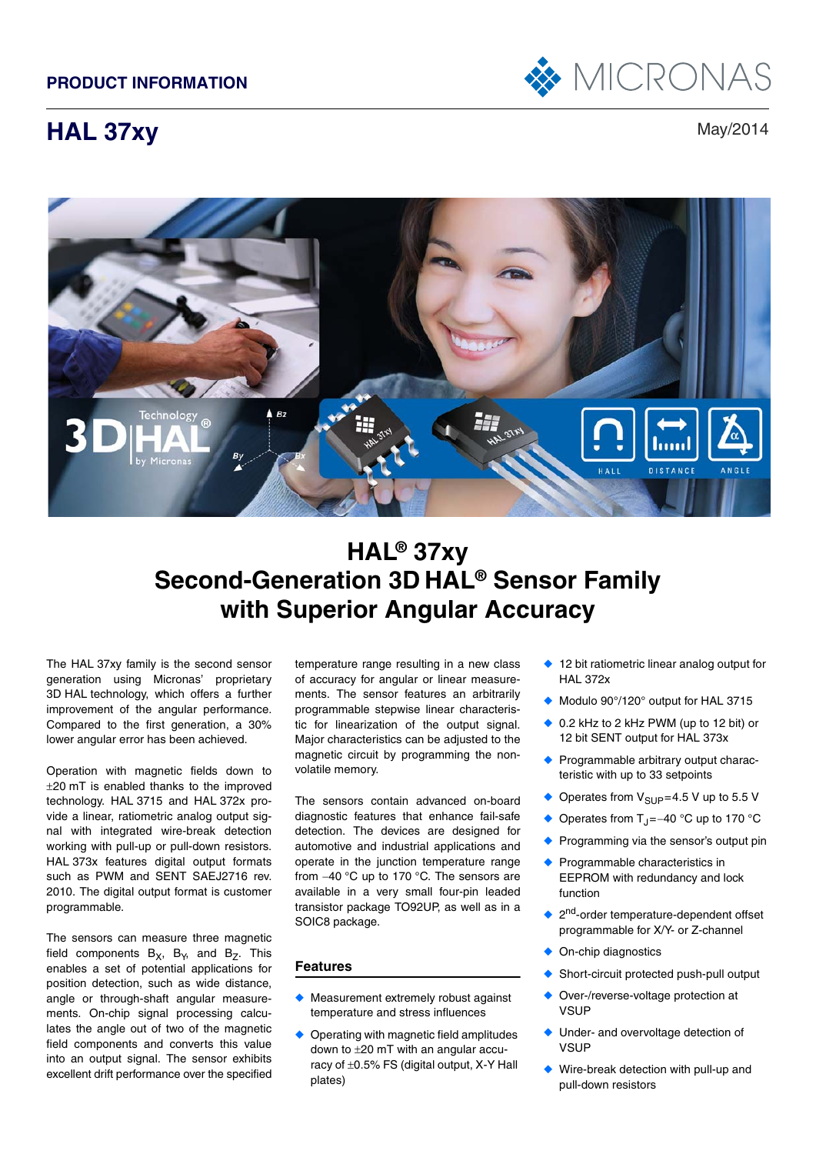

# **HAL 37xy** May/2014



# **HAL® 37xy Second-Generation 3D HAL® Sensor Family with Superior Angular Accuracy**

The HAL 37xy family is the second sensor generation using Micronas' proprietary 3D HAL technology, which offers a further improvement of the angular performance. Compared to the first generation, a 30% lower angular error has been achieved.

Operation with magnetic fields down to  $\pm 20$  mT is enabled thanks to the improved technology. HAL 3715 and HAL 372x provide a linear, ratiometric analog output signal with integrated wire-break detection working with pull-up or pull-down resistors. HAL 373x features digital output formats such as PWM and SENT SAEJ2716 rev. 2010. The digital output format is customer programmable.

The sensors can measure three magnetic field components  $B_x$ ,  $B_y$ , and  $B_z$ . This enables a set of potential applications for position detection, such as wide distance, angle or through-shaft angular measurements. On-chip signal processing calculates the angle out of two of the magnetic field components and converts this value into an output signal. The sensor exhibits excellent drift performance over the specified

temperature range resulting in a new class of accuracy for angular or linear measurements. The sensor features an arbitrarily programmable stepwise linear characteristic for linearization of the output signal. Major characteristics can be adjusted to the magnetic circuit by programming the nonvolatile memory.

The sensors contain advanced on-board diagnostic features that enhance fail-safe detection. The devices are designed for automotive and industrial applications and operate in the junction temperature range from -40 °C up to 170 °C. The sensors are available in a very small four-pin leaded transistor package TO92UP, as well as in a SOIC8 package.

## **Features**

- ◆ Measurement extremely robust against temperature and stress influences
- ◆ Operating with magnetic field amplitudes down to  $\pm 20$  mT with an angular accuracy of  $\pm 0.5\%$  FS (digital output, X-Y Hall plates)
- ◆ 12 bit ratiometric linear analog output for HAL 372x
- ◆ Modulo 90°/120° output for HAL 3715
- 0.2 kHz to 2 kHz PWM (up to 12 bit) or 12 bit SENT output for HAL 373x
- ◆ Programmable arbitrary output characteristic with up to 33 setpoints
- ◆ Operates from  $V_{\text{SUP}} = 4.5 V$  up to 5.5 V
- ◆ Operates from T<sub>1</sub> =  $-40$  °C up to 170 °C
- ◆ Programming via the sensor's output pin
- ◆ Programmable characteristics in EEPROM with redundancy and lock function
- ◆ 2<sup>nd</sup>-order temperature-dependent offset programmable for X/Y- or Z-channel
- On-chip diagnostics
- Short-circuit protected push-pull output
- Over-/reverse-voltage protection at **VSUP**
- Under- and overvoltage detection of **VSUP**
- Wire-break detection with pull-up and pull-down resistors